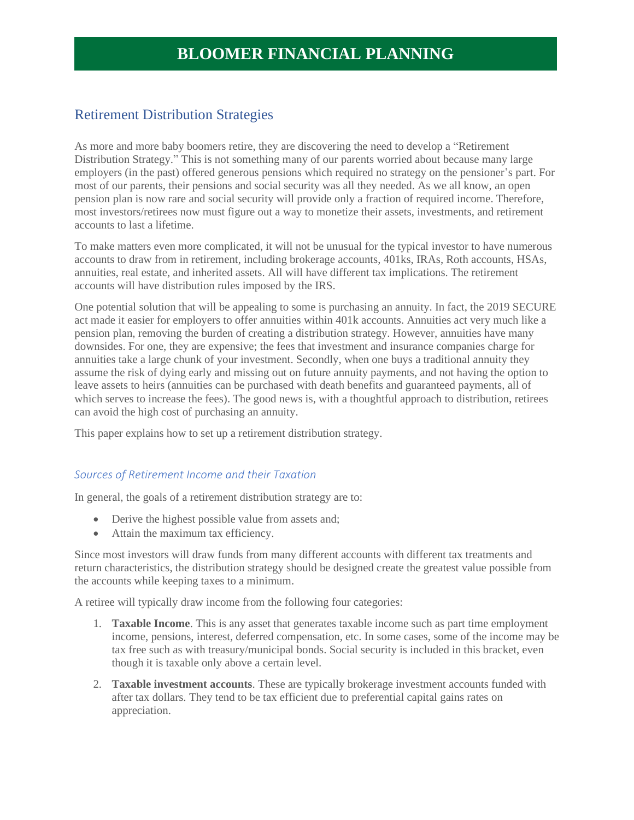### Retirement Distribution Strategies

As more and more baby boomers retire, they are discovering the need to develop a "Retirement Distribution Strategy." This is not something many of our parents worried about because many large employers (in the past) offered generous pensions which required no strategy on the pensioner's part. For most of our parents, their pensions and social security was all they needed. As we all know, an open pension plan is now rare and social security will provide only a fraction of required income. Therefore, most investors/retirees now must figure out a way to monetize their assets, investments, and retirement accounts to last a lifetime.

To make matters even more complicated, it will not be unusual for the typical investor to have numerous accounts to draw from in retirement, including brokerage accounts, 401ks, IRAs, Roth accounts, HSAs, annuities, real estate, and inherited assets. All will have different tax implications. The retirement accounts will have distribution rules imposed by the IRS.

One potential solution that will be appealing to some is purchasing an annuity. In fact, the 2019 SECURE act made it easier for employers to offer annuities within 401k accounts. Annuities act very much like a pension plan, removing the burden of creating a distribution strategy. However, annuities have many downsides. For one, they are expensive; the fees that investment and insurance companies charge for annuities take a large chunk of your investment. Secondly, when one buys a traditional annuity they assume the risk of dying early and missing out on future annuity payments, and not having the option to leave assets to heirs (annuities can be purchased with death benefits and guaranteed payments, all of which serves to increase the fees). The good news is, with a thoughtful approach to distribution, retirees can avoid the high cost of purchasing an annuity.

This paper explains how to set up a retirement distribution strategy.

#### *Sources of Retirement Income and their Taxation*

In general, the goals of a retirement distribution strategy are to:

- Derive the highest possible value from assets and;
- Attain the maximum tax efficiency.

Since most investors will draw funds from many different accounts with different tax treatments and return characteristics, the distribution strategy should be designed create the greatest value possible from the accounts while keeping taxes to a minimum.

A retiree will typically draw income from the following four categories:

- 1. **Taxable Income**. This is any asset that generates taxable income such as part time employment income, pensions, interest, deferred compensation, etc. In some cases, some of the income may be tax free such as with treasury/municipal bonds. Social security is included in this bracket, even though it is taxable only above a certain level.
- 2. **Taxable investment accounts**. These are typically brokerage investment accounts funded with after tax dollars. They tend to be tax efficient due to preferential capital gains rates on appreciation.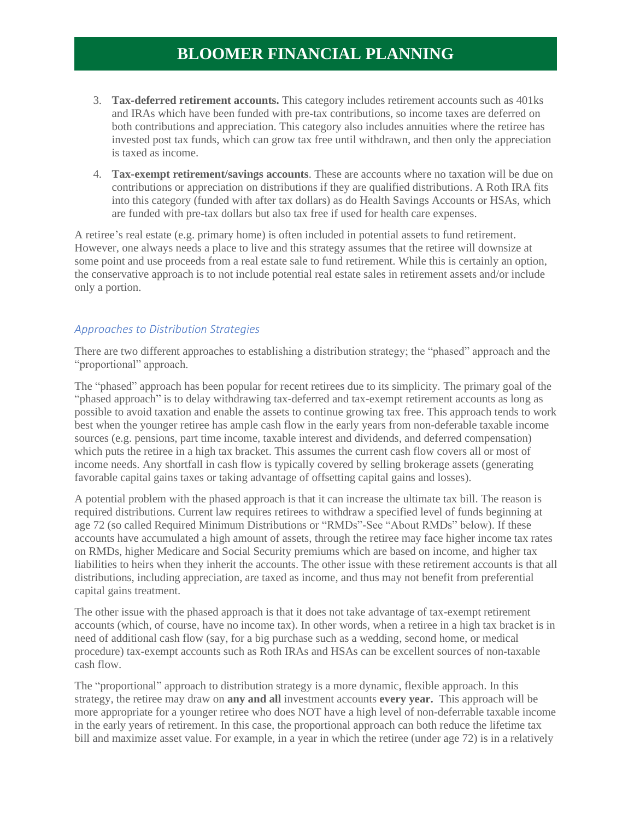- 3. **Tax-deferred retirement accounts.** This category includes retirement accounts such as 401ks and IRAs which have been funded with pre-tax contributions, so income taxes are deferred on both contributions and appreciation. This category also includes annuities where the retiree has invested post tax funds, which can grow tax free until withdrawn, and then only the appreciation is taxed as income.
- 4. **Tax-exempt retirement/savings accounts**. These are accounts where no taxation will be due on contributions or appreciation on distributions if they are qualified distributions. A Roth IRA fits into this category (funded with after tax dollars) as do Health Savings Accounts or HSAs, which are funded with pre-tax dollars but also tax free if used for health care expenses.

A retiree's real estate (e.g. primary home) is often included in potential assets to fund retirement. However, one always needs a place to live and this strategy assumes that the retiree will downsize at some point and use proceeds from a real estate sale to fund retirement. While this is certainly an option, the conservative approach is to not include potential real estate sales in retirement assets and/or include only a portion.

#### *Approaches to Distribution Strategies*

There are two different approaches to establishing a distribution strategy; the "phased" approach and the "proportional" approach.

The "phased" approach has been popular for recent retirees due to its simplicity. The primary goal of the "phased approach" is to delay withdrawing tax-deferred and tax-exempt retirement accounts as long as possible to avoid taxation and enable the assets to continue growing tax free. This approach tends to work best when the younger retiree has ample cash flow in the early years from non-deferable taxable income sources (e.g. pensions, part time income, taxable interest and dividends, and deferred compensation) which puts the retiree in a high tax bracket. This assumes the current cash flow covers all or most of income needs. Any shortfall in cash flow is typically covered by selling brokerage assets (generating favorable capital gains taxes or taking advantage of offsetting capital gains and losses).

A potential problem with the phased approach is that it can increase the ultimate tax bill. The reason is required distributions. Current law requires retirees to withdraw a specified level of funds beginning at age 72 (so called Required Minimum Distributions or "RMDs"-See "About RMDs" below). If these accounts have accumulated a high amount of assets, through the retiree may face higher income tax rates on RMDs, higher Medicare and Social Security premiums which are based on income, and higher tax liabilities to heirs when they inherit the accounts. The other issue with these retirement accounts is that all distributions, including appreciation, are taxed as income, and thus may not benefit from preferential capital gains treatment.

The other issue with the phased approach is that it does not take advantage of tax-exempt retirement accounts (which, of course, have no income tax). In other words, when a retiree in a high tax bracket is in need of additional cash flow (say, for a big purchase such as a wedding, second home, or medical procedure) tax-exempt accounts such as Roth IRAs and HSAs can be excellent sources of non-taxable cash flow.

The "proportional" approach to distribution strategy is a more dynamic, flexible approach. In this strategy, the retiree may draw on **any and all** investment accounts **every year.** This approach will be more appropriate for a younger retiree who does NOT have a high level of non-deferrable taxable income in the early years of retirement. In this case, the proportional approach can both reduce the lifetime tax bill and maximize asset value. For example, in a year in which the retiree (under age 72) is in a relatively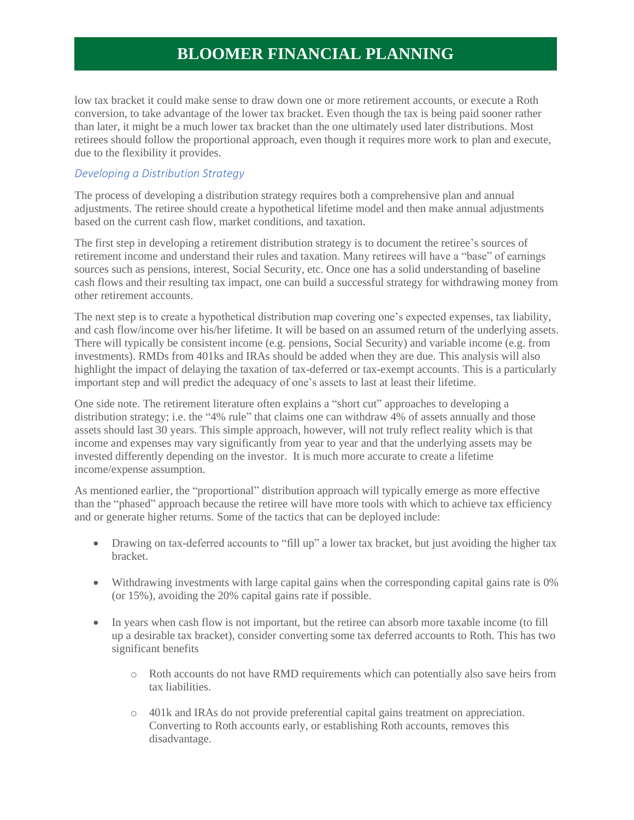low tax bracket it could make sense to draw down one or more retirement accounts, or execute a Roth conversion, to take advantage of the lower tax bracket. Even though the tax is being paid sooner rather than later, it might be a much lower tax bracket than the one ultimately used later distributions. Most retirees should follow the proportional approach, even though it requires more work to plan and execute, due to the flexibility it provides.

### *Developing a Distribution Strategy*

The process of developing a distribution strategy requires both a comprehensive plan and annual adjustments. The retiree should create a hypothetical lifetime model and then make annual adjustments based on the current cash flow, market conditions, and taxation.

The first step in developing a retirement distribution strategy is to document the retiree's sources of retirement income and understand their rules and taxation. Many retirees will have a "base" of earnings sources such as pensions, interest, Social Security, etc. Once one has a solid understanding of baseline cash flows and their resulting tax impact, one can build a successful strategy for withdrawing money from other retirement accounts.

The next step is to create a hypothetical distribution map covering one's expected expenses, tax liability, and cash flow/income over his/her lifetime. It will be based on an assumed return of the underlying assets. There will typically be consistent income (e.g. pensions, Social Security) and variable income (e.g. from investments). RMDs from 401ks and IRAs should be added when they are due. This analysis will also highlight the impact of delaying the taxation of tax-deferred or tax-exempt accounts. This is a particularly important step and will predict the adequacy of one's assets to last at least their lifetime.

One side note. The retirement literature often explains a "short cut" approaches to developing a distribution strategy; i.e. the "4% rule" that claims one can withdraw 4% of assets annually and those assets should last 30 years. This simple approach, however, will not truly reflect reality which is that income and expenses may vary significantly from year to year and that the underlying assets may be invested differently depending on the investor. It is much more accurate to create a lifetime income/expense assumption.

As mentioned earlier, the "proportional" distribution approach will typically emerge as more effective than the "phased" approach because the retiree will have more tools with which to achieve tax efficiency and or generate higher returns. Some of the tactics that can be deployed include:

- Drawing on tax-deferred accounts to "fill up" a lower tax bracket, but just avoiding the higher tax bracket.
- Withdrawing investments with large capital gains when the corresponding capital gains rate is 0% (or 15%), avoiding the 20% capital gains rate if possible.
- In years when cash flow is not important, but the retiree can absorb more taxable income (to fill up a desirable tax bracket), consider converting some tax deferred accounts to Roth. This has two significant benefits
	- o Roth accounts do not have RMD requirements which can potentially also save heirs from tax liabilities.
	- o 401k and IRAs do not provide preferential capital gains treatment on appreciation. Converting to Roth accounts early, or establishing Roth accounts, removes this disadvantage.